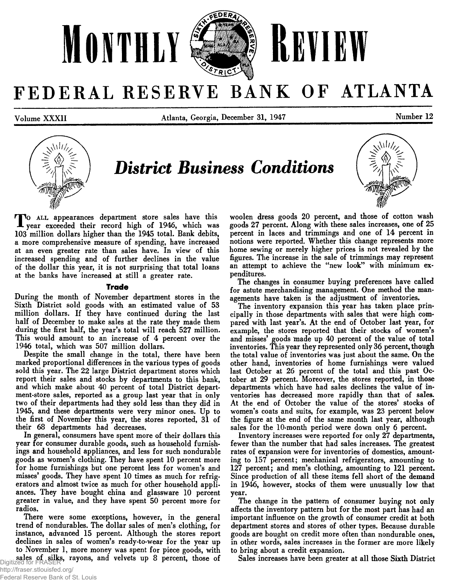

# FEDERAL RESERVE BANK OF ATLANTA

**Volume XXXII Atlanta, Georgia, December 31, 1947 Number 12**



*District Business Conditions*

*T o* **a ll appearances department store sales have this year exceeded their record high of 1946, which was 103 million dollars higher than the 1945 total. Bank debits, a more comprehensive measure of spending, have increased at an even greater rate than sales have. In view of this increased spending and of further declines in the value of the dollar this year, it is not surprising that total loans at the banks have increased at still a greater rate.**

### **Trade**

**During the month of November department stores in the Sixth District sold goods with an estimated value of 53 million dollars. If they have continued during the last half of December to make sales at the rate they made them during the first half, the year's total will reach 527 million. This would amount to an increase of 4 percent over the 1946 total, which was 507 million dollars.**

**Despite the small change in the total, there have been marked proportional differences in the various types of goods sold this year. The 22 large District department stores which report their sales and stocks by departments to this bank, and which make about 40 percent of total District department-store sales, reported as a group last year that in only two of their departments had they sold less than they did in 1945, and these departments were very minor ones. Up to the first of November this year, the stores reported, 31 of their 68 departments had decreases.**

**In general, consumers have spent more of their dollars this year for consumer durable goods, such as household furnishings and household appliances, and less for such nondurable goods as women's clothing. They have spent 10 percent more for home furnishings but one percent less for women's and misses' goods. They have spent 10 times as much for refrigerators and almost twice as much for other household appliances. They have bought china and glassware 10 percent greater in value, and they have spent 50 percent more for radios.**

**There were some exceptions, however, in the general trend of nondurables. The dollar sales of men's clothing, for instance, advanced 15 percent. Although the stores report declines in sales of women's ready-to-wear for the year up to November 1, more money was spent for piece goods, with sales of silks, rayons, and velvets up 8 percent, those of** Digitized for FRASER

**woolen dress goods 20 percent, and those of cotton wash goods 27 percent. Along with these sales increases, one of 25 percent in laces and trimmings and one of 14 percent in notions were reported. Whether this change represents more home sewing or merely higher prices is not revealed by the figures. The increase in the sale of trimmings may represent an attempt to achieve the "new look" with minimum expenditures.**

**The changes in consumer buying preferences have called for astute merchandising management. One method the managements have taken is the adjustment of inventories.**

**The inventory expansion this year has taken place principally in those departments with sales that were high compared with last year's. At the end of October last year, for example, the stores reported that their stocks of women's and misses' goods made up 40 percent of the value of total inventories. This year they represented only 36 percent, though the total value of inventories was just about the same. On the other hand, inventories of home furnishings were valued last October at 26 percent of the total and this past October at 29 percent. Moreover, the stores reported, in those departments which have had sales declines the value of inventories has decreased more rapidly than that of sales. At the end of October the value of the stores' stocks of women's coats and suits, for example, was 23 percent below the figure at the end of the same month last year, although sales for the 10-month period were down only 6 percent.**

**Inventory increases were reported for only 27 departments, fewer than the number that had sales increases. The greatest rates of expansion were for inventories of domestics, amounting to 157 percent; mechanical refrigerators, amounting to 127 percent; and men's clothing, amounting to 121 percent. Since production of all these items fell short of the demand in 1946, however, stocks of them were unusually low that year.**

**The change in the pattern of consumer buying not only affects the inventory pattern but for the most part has had an important influence on the growth of consumer credit at both department stores and stores of other types. Because durable goods are bought on credit more often than nondurable ones, in other words, sales increases in the former are more likely to bring about a credit expansion.**

**Sales increases have been greater at all those Sixth District**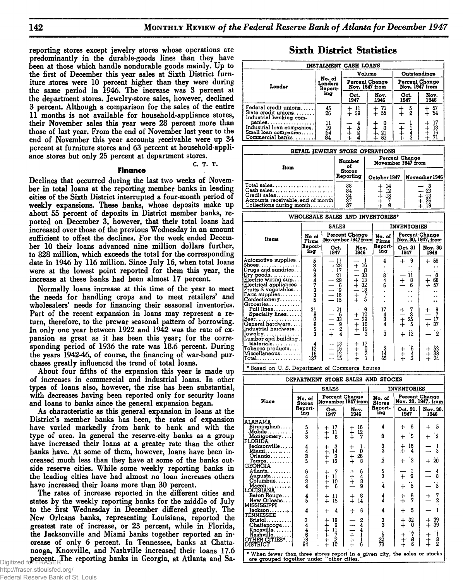reporting stores except jewelry stores whose operations are **Sixth District Statistics predominantly in the durable-goods lines than they have been at those which handle nondurable goods mainly. Up to the first of December this year sales at Sixth District furniture stores were 10 percent higher than they were during the same period in 1946. The increase was 3 percent at the department stores. Jewelry-store sales, however, declined 3 percent. Although a comparison for the sales of the entire 11 months is not available for household-appliance stores, their November sales this year were 28 percent more than those of last year. From the end of November last year to the end of November this year accounts receivable were up 34 percent at furniture stores and 63 percent at household-appliance stores but only 25 percent at department stores.**

### C. T. T.

### **Finance**

**Declines that occurred during the last two weeks of November in total loans at the reporting member banks in leading cities of the Sixth District interrupted a four-month period of weekly expansions. These banks, whose deposits make up about 55 percent of deposits in District member banks, reported on December 3, however, that their total loans had increased over those of the previous Wednesday in an amount sufficient to offset the declines. For the week ended December 10 their loans advanced nine million dollars further, to 828 million, which exceeds the total for the corresponding date in 1946 by 116 million. Since July 16, when total loans were at the lowest point reported for them this year, the increase at these banks had been almost 17 percent.**

**Normally loans increase at this time of the year to meet the needs for handling crops and to meet retailers' and** wholesalers' needs for financing their seasonal inventories. **Part of the recent expansion in loans may represent a return, therefore, to the prewar seasonal pattern of borrowing. In only one year between 1922 and 1942 was the rate of expansion as great as it has been this year; for the corresponding period of 1936 the rate was 18.6 percent. During the years 1942-46, of course, the financing of war-bond purchases greatly influenced the trend of total loans.**

**About four fifths of the expansion this year is made up of increases in commercial and industrial loans. In other types of loans also, however, the rise has been substantial, with decreases having been reported only for security loans and loans to banks since the general expansion began.**

**As characteristic as this general expansion in loans at the District's member banks has been, the rates of expansion have varied markedly from bank to bank and with the type of area. In general the reserve-city banks as a group have increased their loans at a greater rate than the other banks have. At some of them, however, loans have been increased much less than they have at some of the banks outside reserve cities. While some weekly reporting banks in the leading cities have had almost no loan increases others have increased their loans more than 30 percent.**

**The rates of increase reported in the different cities and states by the weekly reporting banks for the middle of July to the first Wednesday in December differed greatly. The New Orleans banks, representing Louisiana, reported the greatest rate of increase, or 23 percent, while in Florida, the Jacksonville and Miami banks together reported an increase of only 6 percent. In Tennessee, banks at Chattanooga, Knoxville, and Nashville increased their loans 17.6** Digitized for FRASER<sup>The</sup> reporting banks in Georgia, at Atlanta and Sa-

| <b>INSTALMENT CASH LOANS</b>                                                     |                              |                                         |                |                                  |                      |  |  |  |  |  |
|----------------------------------------------------------------------------------|------------------------------|-----------------------------------------|----------------|----------------------------------|----------------------|--|--|--|--|--|
|                                                                                  |                              |                                         | Volume         |                                  | Outstandings         |  |  |  |  |  |
| Lender                                                                           | No. of<br>Lenders<br>Report- | <b>Percent Change</b><br>Nov. 1947 from |                | Percent Change<br>Nov. 1947 from |                      |  |  |  |  |  |
|                                                                                  | ing                          | Oct.<br>1947                            | Nov.<br>1946   | Oct.<br>1947                     | Nov.<br>1946         |  |  |  |  |  |
| Federal credit unions<br>State credit unions<br>Industrial banking com-          | $\frac{45}{26}$              | $\frac{11}{39}$                         | $+ 71$<br>+ 55 | $\frac{5}{2}$                    | $\frac{57}{54}$      |  |  |  |  |  |
| panies<br>Industrial loan companies.<br>Small loan companies<br>Commercial banks | $\frac{11}{19}$<br>54<br>34  |                                         | 21<br>63       | з                                | 17<br>13<br>16<br>71 |  |  |  |  |  |

| RETAIL JEWELRY STORE OPERATIONS                                                                            |                            |                                      |               |  |  |  |  |  |  |  |
|------------------------------------------------------------------------------------------------------------|----------------------------|--------------------------------------|---------------|--|--|--|--|--|--|--|
| Item                                                                                                       | <b>Number</b><br>ot        | Percent Change<br>November 1947 from |               |  |  |  |  |  |  |  |
|                                                                                                            | <b>Stores</b><br>Reporting | October 1947                         | November 1946 |  |  |  |  |  |  |  |
| Total sales<br>Cash sales<br>Credit sales<br>Accounts receivable, end of month<br>Collections during month | 38<br>34<br>34<br>37<br>ß. | -14<br>$\frac{12}{16}$<br>8          | _ 23<br>36    |  |  |  |  |  |  |  |

### WHOLESALE SALES AND INVENTORIES\*

|                                                                                                                                                                                                                                                                                                                                                                                                                        |                                                  | <b>SALES</b>                                                                                                                                                                                                       |                                                                                                                                                                                         |                                                                  | <b>INVENTORIES</b>                                                                                                                                                           |                                                                                                                                                          |  |  |
|------------------------------------------------------------------------------------------------------------------------------------------------------------------------------------------------------------------------------------------------------------------------------------------------------------------------------------------------------------------------------------------------------------------------|--------------------------------------------------|--------------------------------------------------------------------------------------------------------------------------------------------------------------------------------------------------------------------|-----------------------------------------------------------------------------------------------------------------------------------------------------------------------------------------|------------------------------------------------------------------|------------------------------------------------------------------------------------------------------------------------------------------------------------------------------|----------------------------------------------------------------------------------------------------------------------------------------------------------|--|--|
| Items                                                                                                                                                                                                                                                                                                                                                                                                                  | No of<br>Firms                                   |                                                                                                                                                                                                                    | Percent Change<br>November 1947 from                                                                                                                                                    | No. of<br>Firms                                                  |                                                                                                                                                                              | Percent Change<br>Nov. 30, 1947, from                                                                                                                    |  |  |
|                                                                                                                                                                                                                                                                                                                                                                                                                        | <b>Report-</b><br>ing                            | Oct.<br>1947                                                                                                                                                                                                       | Nov.<br>1946                                                                                                                                                                            | Report-<br>ing                                                   | Oct. 31<br>1947                                                                                                                                                              | Nov. 30<br>1946                                                                                                                                          |  |  |
| Automotive supplies<br>Shoes.<br>Drugs and sundries<br>$Dry$ goods<br>Electric wiring sup<br>Electrical appliances. .<br>Fruits & vegetables <br>$\texttt{Farm}\texttt{supplies} \ldots \ldots$ .<br>Confectionery<br>Groceries<br>Full lines<br>Specialty lines<br>Beer.<br>General hardware<br>Industrial hardware<br>ewelry<br>Lumber and building.<br>materials<br>Tobacco products<br>Miscellaneous<br>[[Total. ] | 539847335<br>31<br>88883<br>4<br>1Ž<br>16<br>137 | $-11$<br>$-128$<br>$-121$<br>$-122$<br>$-16$<br>$-16$<br>$-15$<br>$\ddot{6}$<br>21<br>$\frac{1}{1}$ $\frac{6}{3}$<br>$\frac{3}{9}$<br>$\frac{9}{4}$<br>13<br>$\overline{\phantom{0}}$<br>$-16$<br>$-12$<br>15<br>- | $\pm$<br>$\frac{16}{\beta}$<br>33<br>-<br>$+ + - +$<br>$\frac{13}{32}$<br>18<br>7<br>Ś<br>9<br>12<br>$+$<br>29<br>$ +$ $+$<br>$\overline{16}$<br>19<br>3<br>17<br>++++<br>$\frac{0}{2}$ | 4<br>$\frac{3}{4}$<br>17<br>$\frac{4}{3}$<br>š.<br>ż<br>14<br>65 | 9<br>┿<br>. .<br>'n<br>$+$<br>$\frac{8}{6}$<br>. .<br>. .<br>. .<br>$\begin{array}{c} 7 \\ 3 \\ 25 \\ 5 \end{array}$<br>$+$ $ +$<br>$12 \,$<br>$+$<br>$\frac{6}{3}$<br>$+ +$ | 59<br>$\div$<br>$\frac{3}{68}$<br>57<br>$\ddagger$<br>$\frac{9}{7}$<br>$\pm$<br>17<br>$+37$<br>$\mathbf{\dot{2}}$<br>$\frac{52}{38}$<br>24<br>$^{+}_{+}$ |  |  |

 $\vert$  \* Based on U.S. Department of Commerce figures

| DEPARTMENT STORE SALES AND STOCKS                                                                                       |                                                                 |                           |                                               |                         |                             |                                                           |  |  |
|-------------------------------------------------------------------------------------------------------------------------|-----------------------------------------------------------------|---------------------------|-----------------------------------------------|-------------------------|-----------------------------|-----------------------------------------------------------|--|--|
|                                                                                                                         |                                                                 | <b>SALES</b>              |                                               |                         | <b>INVENTORIES</b>          |                                                           |  |  |
| Place                                                                                                                   | Percent Change<br>No. of<br>November 1947 from<br><b>Stores</b> |                           |                                               | No. of<br><b>Stores</b> |                             | Percent Change<br>Nov. 30, 1947, from                     |  |  |
|                                                                                                                         | Report-<br>ing                                                  | Oct.<br>1947              | Nov.<br>1946                                  | Report-<br>ina          | Oct. $31.$<br>1947          | Nov. 30.<br>1946                                          |  |  |
| ALABAMA                                                                                                                 |                                                                 |                           |                                               |                         |                             |                                                           |  |  |
| Birmingham<br>Mobile                                                                                                    |                                                                 | 17<br>11                  | $\frac{16}{12}$                               | 4                       | 6<br>┿                      | 5<br>$\div$                                               |  |  |
| Montgomery<br><b>FLORIDA</b>                                                                                            | 5<br>3<br>3                                                     | $^\pm$<br>8               | $\begin{array}{c} + \ + \ + \end{array}$<br>7 | 3                       | 5<br>$\ddot{}$              | 3<br>┿                                                    |  |  |
| Jacksonville.<br>Miami.                                                                                                 | $\frac{4}{3}$                                                   | $\frac{3}{14}$<br>$+ +$   | 1.<br>$\pm$<br>Ō                              | 3<br>3                  | 16<br>$^{+}_{+}$<br>4       | $\frac{1}{3}$                                             |  |  |
| $O$ rlando                                                                                                              |                                                                 | з                         | 26                                            |                         |                             |                                                           |  |  |
| Tampa<br><b>GEORGIA</b>                                                                                                 |                                                                 | 13                        | $\ddagger$<br>8                               | ġ                       | 3<br>$\ddot{}$              | 20<br>+                                                   |  |  |
| Atlanta                                                                                                                 | 643                                                             | 7                         | 6489                                          | $\frac{5}{3}$           | I                           | 4<br>8                                                    |  |  |
| Augusta<br>$C$ olumbus                                                                                                  |                                                                 | 11<br>10                  | $\ddagger$                                    |                         | $\ddot{}$<br>9              |                                                           |  |  |
| <b>Macon.</b> .                                                                                                         |                                                                 | $+ +$<br>$+ +$<br>$6 -$   |                                               | į.                      | Š<br>┿                      | $\ddot{\mathbf{5}}$                                       |  |  |
| LOUISIANA                                                                                                               |                                                                 |                           |                                               |                         |                             |                                                           |  |  |
| Baton Rouge<br>New Orleans                                                                                              | $\frac{4}{5}$                                                   | 11<br>$^\mathrm{+}$<br>15 | ß<br>$\ddagger$<br>14                         | $\frac{4}{4}$           | $\frac{6}{7}$<br>$^{+}_{+}$ | $\frac{7}{2}$<br>┿                                        |  |  |
| MISSISSIPPI                                                                                                             |                                                                 |                           |                                               |                         |                             |                                                           |  |  |
| Jackson<br>TENNESSEE                                                                                                    | 4                                                               | 4                         | ĥ<br>$\div$                                   | 4                       | 5<br>$\ddot{}$              |                                                           |  |  |
| $Bristol. \ldots \ldots$                                                                                                |                                                                 | 18                        |                                               | 3<br>3                  | 32                          | $\frac{39}{39}$                                           |  |  |
| Chattanooga                                                                                                             |                                                                 | 9                         | $\frac{2}{4}$                                 |                         | $^\ddag$<br>0               | $^+_\mathrm{+}$                                           |  |  |
| Knoxville. 1<br>Nashville                                                                                               |                                                                 | 1Ī                        |                                               |                         | 7                           |                                                           |  |  |
| OTHER CITIES*                                                                                                           | ದಿದ್ದ ಕಾರಿ                                                      | ++++++<br>$\frac{7}{2}$   | $\frac{1}{1}$<br>i<br>6                       | $\frac{5}{73}$          | $_+^+$<br>8                 | $\frac{1}{2}$<br>$\begin{array}{c} + \ + \ + \end{array}$ |  |  |
| <b>DISTRICT</b>                                                                                                         |                                                                 | 10                        |                                               |                         |                             |                                                           |  |  |
| * When fewer than three stores report in a given city, the sales or stocks<br>are grouped together under "other cities. |                                                                 |                           |                                               |                         |                             |                                                           |  |  |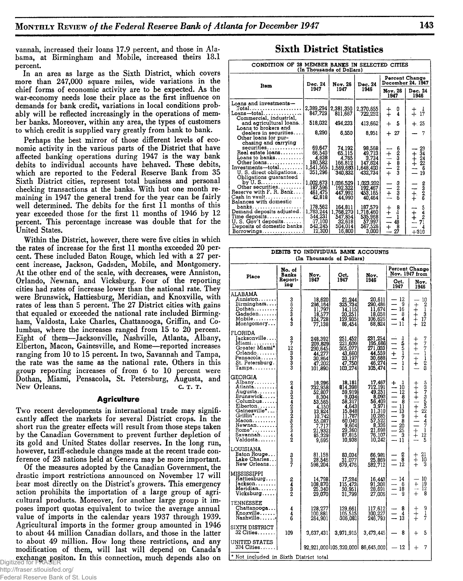**vannah, increased their loans 17.9 percent, and those in Alabama, at Birmingham and Mobile, increased theirs 18.1 percent.**

**In an area as large as the Sixth District, which covers more than 247,000 square miles, wide variations in the chief forms of economic activity are to be expected. As the war-economy needs lose their place as the first influence on demands for bank credit, variations in local conditions probably will be reflected increasingly in the operations of member banks. Moreover, within any area, the types of customers to which credit is supplied vary greatly from bank to bank.**

**Perhaps the best mirror of those different levels of economic activity in the various parts of the District that have affected banking operations during 1947 is the way bank debits to individual accounts have behaved. These debits, which are reported to the Federal Reserve Bank from 35 Sixth District cities, represent total business and personal checking transactions at the banks. With but one month remaining in 1947 the general trend for the year can be fairly well determined. The debits for the first 11 months of this year exceeded those for the first 11 months of 1946 by 12 percent. This percentage increase was double that for the United States.**

**Within the District, however, there were five cities in which the rates of increase for the first 11 months exceeded 20 percent. These included Baton Rouge, which led with a 27 percent increase, Jackson, Gadsden, Mobile, and Montgomery. At the other end of the scale, with decreases, were Anniston, Orlando, Newnan, and Vicksburg. Four of the reporting cities had rates of increase lower than the national rate. They were Brunswick, Hattiesburg, Meridian, and Knoxville, with rates of less than 5 percent. The 27 District cities with gains that equaled or exceeded the national rate included Birmingham, Valdosta, Lake Charles, Chattanooga, Griffin, and Columbus, where the increases ranged from 15 to 20 percent. Eight of them—Jacksonville, Nashville, Atlanta, Albany, Elberton, Macon, Gainesville, and Rome—reported increases ranging from 10 to 15 percent. In two, Savannah and Tampa, the rate was the same as the national rate. Others in this group reporting increases of from 6 to 10 percent were Dothan, Miami, Pensacola, St. Petersburg, Augusta, and** New Orleans. **c. T. T.** 

### **Agriculture**

**Two recent developments in international trade may significantly affect the markets for several District crops. In the short run the greater effects will result from those steps taken by the Canadian Government to prevent further depletion of its gold and United States dollar reserves. In the long run, however, tariff-schedule changes made at the recent trade conference of 23 nations held at Geneva may be more important.**

**Of the measures adopted by the Canadian Government, the drastic import restrictions announced on November 17 will bear most directly on the District's growers. This emergency action prohibits the importation of a large group of agricultural products. Moreover, for another large group it imposes import quotas equivalent to twice the average annual value of imports in the calendar years 1937 through 1939. Agricultural imports in the former group amounted in 1946 to about 44 million Canadian dollars, and those in the latter to about 49 million. How long these restrictions, and any modification of them, will last will depend on Canada's exchange positon. In this connection, much depends also on** Digitized for FRASER

### **Sixth District Statistics**

| CONDITION OF 28 MEMBER BANKS IN SELECTED CITIES<br>(In Thousands of Dollars)                                                                                        |                                                                  |                                                                |                                                              |                                                                                    |                                                                           |  |  |  |  |  |  |
|---------------------------------------------------------------------------------------------------------------------------------------------------------------------|------------------------------------------------------------------|----------------------------------------------------------------|--------------------------------------------------------------|------------------------------------------------------------------------------------|---------------------------------------------------------------------------|--|--|--|--|--|--|
| Item                                                                                                                                                                | Dec. 24                                                          | Nov. 26                                                        | Dec. 24                                                      |                                                                                    | Percent Change<br>December 24, 1947                                       |  |  |  |  |  |  |
|                                                                                                                                                                     | 1947                                                             | 1947                                                           | 1946                                                         | Nov. 26<br>1947                                                                    | Dec. 24<br>1946                                                           |  |  |  |  |  |  |
| Loans and investments—                                                                                                                                              |                                                                  |                                                                |                                                              |                                                                                    |                                                                           |  |  |  |  |  |  |
| $\mathtt{Loans}\mathtt{-total}\mathtt{.\dots\dots\dots}$<br>Commercial, industrial,                                                                                 | 2,389,294<br>847,729                                             | 2,381,350<br>811,667                                           | 2.370,655<br>722,252                                         | $\frac{0}{4}$<br>$\ddagger$                                                        | $\frac{1}{17}$<br>$^{+}_{+}$                                              |  |  |  |  |  |  |
| and agricultural loans. .<br>Loans to brokers and                                                                                                                   | 518,032                                                          | 494,233                                                        | 413,662                                                      | - 5<br>$+$                                                                         | $+25$                                                                     |  |  |  |  |  |  |
| dealers in securities<br>Other loans for pur-                                                                                                                       | 8,290                                                            | 6,550                                                          | 8,951                                                        | $+27$                                                                              |                                                                           |  |  |  |  |  |  |
| chasing and carrying<br>securities<br>Real estate loans<br>Loans to banks<br>Other loans<br>Investments—total,<br>U.S. direct obligations<br>Obligations guaranteed | 69,647<br>66,540<br>4,638<br>180,582<br>1,541,565<br>351,296     | 74.192<br>65,115<br>4,765<br>166,812<br>1,569,683 <br>340.832  | 98.568<br>49,713<br>3,734<br>147,624<br>1,648,403<br>432,734 | $+1+1$<br>$+1+1$<br>$+$<br>$+$<br>$+$<br>$+$                                       | 29<br>$+4.34$<br>$+2.22$<br>$-19$<br>19                                   |  |  |  |  |  |  |
| by $U. S. \ldots \ldots \ldots \ldots$<br>Other securities<br>Reserve with F. R. Bank<br>$Cash in vault, \ldots, \ldots, \ldots$<br>Balances with domestic          | 1.002,673<br>187,596<br>461,475<br>42,818                        | 1,036,529<br>192,322<br>447,992<br>44,990                      | 1,023,202<br>192,467<br>453.165<br>40,464                    | mana<br>$\frac{1}{1}$                                                              | ಶಭಾ<br>$\frac{1}{1}$                                                      |  |  |  |  |  |  |
| Demand deposits adjusted.  <br>Time deposits <br>U. S. Gov't deposits<br>Deposits of domestic banks.<br>$Borrowings$                                                | 178,562<br>1,783,244<br>544,231<br> 17,100 <br>542,245<br>12,300 | 164.811<br>1,768,270<br>547,854<br>32,618<br>504.014<br>16,800 | 187.579  <br>1,718,460<br>535,968<br>567,526<br>3.000        | $\frac{8}{4}$<br>$+$<br>-1<br>$\overline{\phantom{0}}$<br>48<br>$\pm \frac{8}{27}$ | $\frac{5}{2}$<br>$\frac{1}{1}$<br>71<br>$\overline{\mathbf{4}}$<br>$+310$ |  |  |  |  |  |  |

|                                                                                                                                                                                        | DEBITS TO INDIVIDUAL BANK ACCOUNTS<br>(In Thousands of Dollars) |                                                                                                                                                            |                                                                                                                              |                                                                                                                                                              |                                                                                                      |                                                             |  |  |  |  |  |
|----------------------------------------------------------------------------------------------------------------------------------------------------------------------------------------|-----------------------------------------------------------------|------------------------------------------------------------------------------------------------------------------------------------------------------------|------------------------------------------------------------------------------------------------------------------------------|--------------------------------------------------------------------------------------------------------------------------------------------------------------|------------------------------------------------------------------------------------------------------|-------------------------------------------------------------|--|--|--|--|--|
| Place                                                                                                                                                                                  | No. of<br>Banks                                                 | Nov.                                                                                                                                                       | Oct.                                                                                                                         | Nov.                                                                                                                                                         |                                                                                                      | Percent Change<br>Nov. 1947 from                            |  |  |  |  |  |
|                                                                                                                                                                                        | Report-<br>ing                                                  | 1947                                                                                                                                                       | 1947                                                                                                                         | 1946                                                                                                                                                         | Oct.<br>1947                                                                                         | Nov.<br>1946                                                |  |  |  |  |  |
| ALABAMA<br>Anniston.<br>Birmingham<br>Dothan<br>Gadsden<br>Mobile<br>Montgomery                                                                                                        | 362343                                                          | 18,620<br>296, 164<br>11, 797<br>18, 577<br>124, 728<br>77, 138                                                                                            | 21,244<br>325,734<br>14,115<br>20,251<br>129,935<br>86,454                                                                   | 20,611<br>290,486<br>11,674<br>18,058<br>106,626<br>68,824                                                                                                   | 12<br>9<br>16<br>8<br>4<br>11                                                                        | $\frac{10}{2}$<br>キキキキキ<br>$\frac{1}{3}$<br>$\frac{17}{12}$ |  |  |  |  |  |
| FLORIDA<br>Jacksonville<br>Miami <b>.</b><br>Greater Miami*<br>$Orlando \ldots$<br>Pensacola<br>St. Petersburg.<br>$Tampa \ldots$                                                      | $372$<br>$3333$                                                 | 248,392<br>209,829<br>290,645<br>44,277<br>30,864<br>47,202<br>101,890                                                                                     | 251,452<br>221,609<br>305,077<br>$43,660$<br>$33,197$<br>$47,750$<br>103,274                                                 | 231,254<br>195,686<br>271,033<br>44,559<br>30,688<br>46,274<br>105,474                                                                                       | しちちーフー<br>$\frac{1}{1}$<br>ī                                                                         | 7771128<br>キキキーキ                                            |  |  |  |  |  |
| GEORGIA<br>Albany<br>Atlanta.<br>Augusta<br>Brunswick<br>Columbus<br>Elberton<br>Gainesville*<br>Griffin*<br>$Macon \ldots$<br>Newnan<br>$Rome$ * $\dots\dots$<br>Savannah<br>Valdosta | 2432423232342                                                   | 18,296<br>732,958<br>52,807<br>$\begin{array}{c} 6,304 \\ 53,565 \\ 4,150 \\ 13,824 \end{array}$<br>10,742<br>55,087<br>7,717<br>21,932<br>85,329<br>9,695 | 18,181<br>814,398<br>59,919<br>9,034<br>58,317<br>4,643<br>15,848<br>11,787<br>60,040<br>9,604<br>29,360<br>87,815<br>10,938 | 17,467<br>712,191<br>49,251<br>8,093<br>56.409<br>$\frac{3,971}{11,310}$<br>$\frac{10,285}{10,285}$<br>57,522<br>$8,336$<br>$21,698$<br>$76,107$<br>$10,242$ | +<br>$\frac{1}{10}$<br>$\overline{12}$<br>8<br>ĕ<br>11<br>ī3<br>9<br>8<br>20<br>$\frac{25}{3}$<br>11 | 53735524471<br>++++ -+++ - -++<br>$\frac{12}{5}$            |  |  |  |  |  |
| LOUISIANA<br>Baton Rouge<br>Lake Charles<br>New Orleans                                                                                                                                | $\frac{3}{2}$                                                   | 81,158<br>28,546<br>598,204                                                                                                                                | 83,034<br>31,077<br>679,476                                                                                                  | 66,981<br>25,869<br>582,712                                                                                                                                  | 2<br>8<br>12                                                                                         | $^{21}_{10}$<br>$\ddagger$<br>Š                             |  |  |  |  |  |
| MISSISSIPPI<br>Hattiesburg<br>Jackson<br>Meridian.<br>Vicksburg                                                                                                                        | 2432                                                            | 14,798<br>108,870<br>25,340<br>29,070                                                                                                                      | 17,284<br>115,473<br>$\frac{30,951}{31,799}$                                                                                 | 16,443<br>91,308<br>28,691<br>27,006                                                                                                                         | 14<br>6<br>$\overline{\phantom{0}}$<br>18<br>9                                                       | 10<br>$\ddot{}$<br>19<br>12<br><br>$\ddot{}$<br>8           |  |  |  |  |  |
| TENNESSEE<br>Chattanooga<br>Knoxville<br>Nashville                                                                                                                                     | 4<br>$\frac{4}{6}$                                              | 128,277<br>100,881<br>264,901                                                                                                                              | 139,661<br>105,515<br>306,081                                                                                                | 117,612<br>100,227<br>246,793                                                                                                                                | 8<br>4<br>13.                                                                                        | $\frac{9}{7}$                                               |  |  |  |  |  |
| SIXTH DISTRICT<br>32 Cities                                                                                                                                                            | 109                                                             | 3,637,431                                                                                                                                                  | 3,971,915                                                                                                                    | 3,473,445                                                                                                                                                    | 8                                                                                                    | 5<br>$^{+}$                                                 |  |  |  |  |  |
| UNITED STATES<br>334 Cities……                                                                                                                                                          |                                                                 |                                                                                                                                                            | $92,921,0001105,320,000185,645,0001 - 12$                                                                                    |                                                                                                                                                              |                                                                                                      | 7<br>$\div$                                                 |  |  |  |  |  |
| * Not included in Sixth District total                                                                                                                                                 |                                                                 |                                                                                                                                                            |                                                                                                                              |                                                                                                                                                              |                                                                                                      |                                                             |  |  |  |  |  |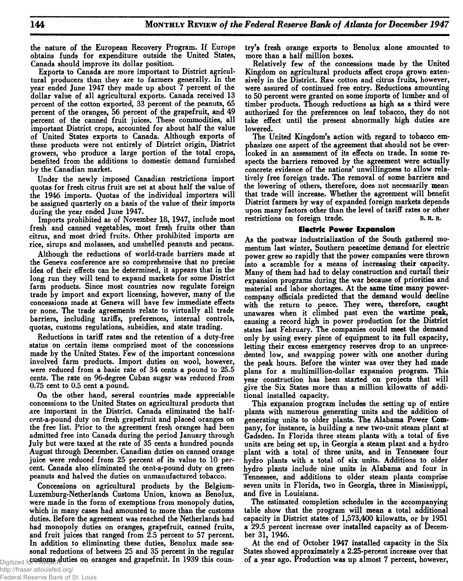**the nature of the European Recovery Program. If Europe obtains funds for expenditure outside the United States, Canada should improve its dollar position.**

**Exports to Canada are more important to District agricultural producers than they are to farmers generally. In the year ended June 1947 they made up about 7 percent of the dollar value of all agricultural exports. Canada received 13 percent of the cotton exported, 33 percent of the peanuts, 65 percent of the oranges, 56 percent of the grapefruit, and 49 percent of the canned fruit juices. These commodities, all important District crops, accounted for about half the value of United States exports to Canada. Although exports of these products were not entirely of District origin, District growers, who produce a large portion of the total crops, benefited from the additions to domestic demand furnished by the Canadian market.**

**Under the newly imposed Canadian restrictions import quotas for fresh citrus fruit are set at about half the value of the 1946 imports. Quotas of the individual importers will be assigned quarterly on a basis of the value of their imports during the year ended June 1947.**

**Imports prohibited as of November 18, 1947, include most fresh and canned vegetables, most fresh fruits other than citrus, and most dried fruits. Other prohibited imports are rice, sirups and molasses, and unshelled peanuts and pecans.**

**Although the reductions of world-trade barriers made at the Geneva conference are so comprehensive that no precise idea of their effects can be determined, it appears that in the long run they will tend to expand markets for some District farm products. Since most countries now regulate foreign trade by import and export licensing, however, many of the concessions made at Geneva will have few immediate effects or none. The trade agreements relate to virtually all trade barriers, including tariffs, preferences, internal controls, quotas, customs regulations, subsidies, and state trading.**

**Reductions in tariff rates and the retention of a duty-free status on certain items comprised most of the concessions made by the United States. Few of the important concessions involved farm products. Import duties on wool, however, were reduced from a basic rate of 34 cents a pound to 25.5 cents. The rate on 96-degree Cuban sugar was reduced from 0.75 cent to 0.5 cent a pound.**

**On the other hand, several countries made appreciable concessions to the United States on agricultural products that are important in the District. Canada eliminated the halfcent-a-pound duty on fresh grapefruit and placed oranges on the free list. Prior to the agreement fresh oranges had been admitted free into Canada during the period January through July but were taxed at the rate of 35 cents a hundred pounds August through December. Canadian duties on canned orange juice were reduced from 25 percent of its value to 10 percent. Canada also eliminated the cent-a-pound duty on green peanuts and halved the duties on unmanufactured tobacco.**

**Concessions on agricultural products by the Belgium-Luxemburg-Netherlands Customs Union, known as Benolux, were made in the form of exemptions from monopoly duties, which in many cases had amounted to more than the customs duties. Before the agreement was reached the Netherlands had had monopoly duties on oranges, grapefruit, canned fruits, and fruit juices that ranged from 2.5 percent to 57 percent. In addition to eliminating these duties, Benolux made seasonal reductions of between 25 and 35 percent in the regular** Digitized for FRASE on oranges and grapefruit. In 1939 this coun**try's fresh orange exports to Benolux alone amounted to more than a half million boxes.**

**Relatively few of the concessions made by the United Kingdom on agricultural products affect crops grown extensively in the District. Raw cotton and citrus fruits, however, were assured of continued free entry. Reductions amounting to 50 percent were granted on some imports of lumber and of timber products. Though reductions as high as a third were authorized for the preferences on leaf tobacco, they do not take effect until the present abnormally high duties are lowered.**

**The United Kingdom's action with regard to tobacco emphasizes one aspect of the agreement that should not be overlooked in an assessment of its effects on trade. In some respects the barriers removed by the agreement were actually concrete evidence of the nations' unwillingness to allow relatively free foreign trade. The removal of some barriers and the lowering of others, therefore, does not necessarily mean that trade will increase. Whether the agreement will benefit District farmers by way of expanded foreign markets depends upon many factors other than the level of tariff rates or other** restrictions on foreign trade. B.R.R.

### **Electric Power Expansion**

**As the postwar industrialization of the South gathered momentum last winter, Southern peacetime demand for electric power grew so rapidly that the power companies were thrown into a scramble for a means of increasing their capacity. Many of them had had to delay construction and curtail their expansion programs during the war because of priorities and material and labor shortages. At the same time many powercompany officials predicted that the demand would decline with the return to peace. They were, therefore, caught unawares when it climbed past even the wartime peak, causing a record high in power production for the District states last February. The companies could meet the demand only by using every piece of equipment to its full capacity, letting their excess emergency reserves drop to an unprecedented low, and swapping power with one another during the peak hours. Before the winter was over they had made plans for a multimillion-dollar expansion program. This year construction has been started on projects that will give the Six States more than a million kilowatts of additional installed capacity.**

**This expansion program includes the setting up of entire plants with numerous generating units and the addition of generating units to older plants. The Alabama Power Company, for instance, is building a new two-unit steam plant at Gadsden. In Florida three steam plants with a total of five units are being set up, in Georgia a steam plant and a hydro plant with a total of three units, and in Tennessee four hydro plants with a total of six units. Additions to older hydro plants include nine units in Alabama and four in Tennessee, and additions to older steam plants comprise seven units in Florida, two in Georgia, three in Mississippi, and five in Louisiana.**

**The estimated completion schedules in the accompanying table show that the program will mean a total additional capacity in District states of 1,573,400 kilowatts, or by 1951 a 29.5 percent increase over installed capacity as of December 31, 1946.**

**At the end of October 1947 installed capacity in the Six States showed approximately a 2.25-percent increase over that of a year ago. Production was up almost 7 percent, however,**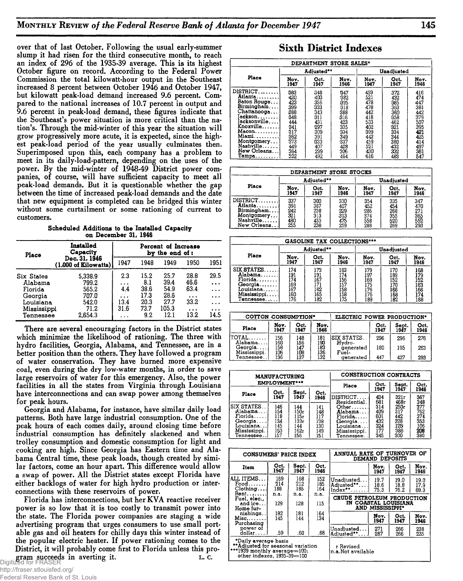**over that of last October. Following the usual early-summer slump it had risen for the third consecutive month, to reach an index of 296 of the 1935-39 average. This is its highest October figure on record. According to the Federal Power Commission the total kilowatt-hour output in the Southeast increased 8 percent between October 1946 and October 1947, but kilowatt peak-load demand increased 9.6 percent. Compared to the national increases of 10.7 percent in output and 9.6 percent in peak-load demand, these figures indicate that the Southeast's power situation is more critical than the nation's. Through the mid-winter of this year the situation will grow progressively more acute, it is expected, since the highest peak-load period of the year usually culminates then. Superimposed upon this, each company has a problem to meet in its daily-load-pattern, depending on the uses of the power. By the mid-winter of 1948-49 District power companies, of course, will have sufficient capacity to meet all peak-load demands. But it is questionable whether the gap between the time of increased peak-load demands and the date that new equipment is completed can be bridged this winter without some curtailment or some rationing of current to customers.**

Scheduled Additions to the Installed Capacity on December 31, 1946

| 1951      |
|-----------|
|           |
| 29.5      |
| $\cdots$  |
| $\cdots$  |
| $\cdots$  |
| $\ddotsc$ |
| $\cdots$  |
| 14.5      |
|           |

**There are several encouraging factors in the District states which minimize the likelihood of rationing. The three with hydro facilities, Georgia, Alabama, and Tennessee, are in a better position than the others. They have followed a program of water conservation. They have burned more expensive coal, even during the dry low-water months, in order to save large reservoirs of water for this emergency. Also, the power facilities in all the states from Virginia through Louisiana have interconnections and can swap power among themselves for peak hours.**

**Georgia and Alabama, for instance, have similar daily load patterns. Both have large industrial consumption. One of the peak hours of each comes daily, around closing time before industrial consumption has definitely slackened and when trolley consumption and domestic consumption for light and cooking are high. Since Georgia has Eastern time and Alabama Central time, these peak loads, though created by similar factors, come an hour apart. This difference would allow a swap of power. All the District states except Florida have either backlogs of water for high hydro production or interconnections with these reservoirs of power.**

**Florida has interconnections, but her KVA reactive receiver power is so low that it is too costly to transmit power into the state. The Florida power companies are staging a wide advertising program that urges consumers to use small portable gas and oil heaters for chilly days this winter instead of the popular electric heater. If power rationing comes to the District, it will probably come first to Florida unless this program succeeds in averting it. c. c. c. c. c.** 

|                                                                                                                                                     | DEPARTMENT STORE SALES*                                                                 |                                                                                  |                                                                                  |                                                                                  |                                                                                  |                                                                                         |  |  |  |  |  |  |
|-----------------------------------------------------------------------------------------------------------------------------------------------------|-----------------------------------------------------------------------------------------|----------------------------------------------------------------------------------|----------------------------------------------------------------------------------|----------------------------------------------------------------------------------|----------------------------------------------------------------------------------|-----------------------------------------------------------------------------------------|--|--|--|--|--|--|
| Place                                                                                                                                               |                                                                                         | Adjusted**                                                                       |                                                                                  |                                                                                  | Unadjusted                                                                       |                                                                                         |  |  |  |  |  |  |
|                                                                                                                                                     | Nov.<br>1947                                                                            | Oct.<br>1947                                                                     | Nov.<br>1946                                                                     | Nov.<br>1947                                                                     | Oct.<br>1947                                                                     | Nov.<br>1946                                                                            |  |  |  |  |  |  |
| DISTRICT<br>Atlanta<br>Baton Rouge<br>Birmingham<br>Chattanooga<br>ackson<br>acksonville<br>Knoxville<br>Macon.<br>Miami<br>Montgomery<br>Nashville | 383<br>420<br>423<br>399<br>888<br>348<br>444<br>341<br>317<br>362<br>373<br>449<br>364 | 348<br>403<br>356<br>333<br>343<br>311<br>431<br>297<br>309<br>391<br>333<br>407 | 347<br>382<br>395<br>318<br>388<br>316<br>423<br>335<br>334<br>349<br>337<br>428 | 459<br>521<br>478<br>478<br>442<br>418<br>533<br>402<br>399<br>442<br>459<br>521 | 372<br>432<br>385<br>363<br>360<br>358<br>462<br>321<br>334<br>344<br>380<br>432 | 416<br>474<br>447<br>381<br>442<br>379<br>507<br>395<br>421<br>425<br>414<br>497<br>361 |  |  |  |  |  |  |
| New Orleans<br>Tampa                                                                                                                                | 522                                                                                     | 299<br>492                                                                       | 306<br>464                                                                       | 430<br>616                                                                       | 332<br>483                                                                       | 547                                                                                     |  |  |  |  |  |  |

|                                                                               |                                        |                                                             | DEPARTMENT STORE STOCKS                |                                        |                                        |                                        |
|-------------------------------------------------------------------------------|----------------------------------------|-------------------------------------------------------------|----------------------------------------|----------------------------------------|----------------------------------------|----------------------------------------|
|                                                                               | Adjusted**                             |                                                             |                                        |                                        | Unadjusted                             |                                        |
| Place                                                                         | Nov.<br>1947                           | Oct.<br>1947                                                | Nov.<br>1946                           | Nov.<br>1947                           | Oct.<br>1947                           | Nov.<br>1946                           |
| $DISTRICT$<br>Atlanta<br>Birmingham<br>Montgomery<br>Nashville<br>New Orleans | 337<br>391<br>242<br>321<br>480<br>255 | $\frac{300}{387}$<br>$\frac{387}{238}$<br>313<br>453<br>238 | 330<br>407<br>229<br>313<br>475<br>259 | 354<br>452<br>285<br>374<br>558<br>288 | 335<br>454<br>268<br>355<br>520<br>269 | 347<br>470<br>271<br>365<br>552<br>293 |

| GASOLINE TAX COLLECTIONS*** |            |      |      |      |            |      |  |  |  |  |  |  |
|-----------------------------|------------|------|------|------|------------|------|--|--|--|--|--|--|
|                             | Adjusted** |      |      |      | Unadjusted |      |  |  |  |  |  |  |
| Place                       | Nov.       | Oct. | Nov. | Nov. | Oct.       | Nov. |  |  |  |  |  |  |
|                             | 1947       | 1947 | 1946 | 1947 | 1947       | 1946 |  |  |  |  |  |  |
| SIX STATES.                 | 174        | 173  | 163  | 179  | 170        | 168  |  |  |  |  |  |  |
| Alabama                     | 191        | 191  | 174  | .97  | 189        | 179  |  |  |  |  |  |  |
| $Florida$                   | 174        | 167  | 156  | 169  | 152        | 152  |  |  |  |  |  |  |
| Georgia                     | .69        | 171  | 157  | 175  | 170        | 163  |  |  |  |  |  |  |
| Louisiana.                  | .67        | 162  | 158  | 176  | 166        | 166  |  |  |  |  |  |  |
| Mississippi                 | 160        | 165  | 158  | 176  | 168        | 174  |  |  |  |  |  |  |
| Tennessee                   | 176        | 182  | 175  | 189  | 182        | 188  |  |  |  |  |  |  |

| <b>COTTON CONSUMPTION*</b> |              |              |              | ELECTRIC POWER PRODUCTION*  |              |               |              |
|----------------------------|--------------|--------------|--------------|-----------------------------|--------------|---------------|--------------|
| Place                      | Nov.<br>1947 | Oct.<br>1947 | Nov.<br>1946 |                             | Oct.<br>1947 | Sept.<br>1947 | Oct.<br>1946 |
| itotal<br>Alabama          | 156<br>160   | 148<br>156   | 181<br>193   | <b>SIX STATES</b><br>Hydro- | 296          | 296           | 276          |
| Georgia<br>Mississippi.    | 158<br>106   | 147<br>108   | 183<br>136   | generated<br>Fuel-          | 180          | 195           | 263          |
| Tennessee. .               | 136          | 137          | 132          | generated                   | 447          | 427           | 293          |

|                                                                                             | <b>MANUFACTURING</b>                          |                                                  |                                               | CONSTRUCTION CONTRACTS                                                                                 |                                               |                                                        |                                               |  |
|---------------------------------------------------------------------------------------------|-----------------------------------------------|--------------------------------------------------|-----------------------------------------------|--------------------------------------------------------------------------------------------------------|-----------------------------------------------|--------------------------------------------------------|-----------------------------------------------|--|
| EMPLOYMENT***                                                                               |                                               |                                                  |                                               | Place                                                                                                  | Oct.<br>1947                                  | Sept.<br>1947                                          | Oct.<br>1946                                  |  |
| Place                                                                                       | Oct.<br>1947                                  | Sept.<br>1947                                    | Oct.<br>1946                                  | DISTRICT                                                                                               | 434<br>681                                    | 321r                                                   | 367<br>348                                    |  |
| ISIX STATES. .<br>Alabama.<br>Florida.<br>Georgia<br>Louisiana<br>Mississippi.<br>Tennessee | 146<br>154<br>118<br>134<br>145<br>163<br>157 | 144<br>150r<br>115r<br>133г<br>44<br>162r<br>156 | 141<br>Ī48<br>īī7<br>138<br>130<br>149<br>151 | Residential.<br>Other.<br>Alabama<br>Florida.<br>Georgia<br>Louisiana.<br>Mississippi.<br>Tennessee. . | 314<br>409<br>601<br>432<br>324<br>177<br>345 | 463r<br>250r<br>317<br>442<br>328<br>126<br>386<br>300 | 377<br>762<br>374<br>353<br>106<br>208<br>380 |  |

| CONSUMERS' PRICE INDEX                                                                                                  |                   |                   |                   | ANNUAL RATE OF TURNOVER OF<br>DEMAND DEPOSITS                          |                      |                      |                      |
|-------------------------------------------------------------------------------------------------------------------------|-------------------|-------------------|-------------------|------------------------------------------------------------------------|----------------------|----------------------|----------------------|
| Item                                                                                                                    | Oct.<br>1947      | Sept.<br>1947     | Oct.<br>1946      |                                                                        | Nov.<br>1947         | Oct.<br>1947         | Nov.<br>1946         |
| ALL ITEMS<br>$\texttt{Food} \dots \dots$<br>Chothing                                                                    | 169<br>214<br>188 | 168<br>212<br>185 | 152<br>185<br>164 | Unadiusted<br>Adiusted** <br>Index**                                   | 19.7<br>18.6<br>75.3 | 19.0<br>18.8<br>76.2 | 19.0<br>17.9<br>69.3 |
| $Rent$<br>Fuel, elec.,<br>and $ice$<br>Home fur-                                                                        | n.a.<br>129       | n.a.<br>128       | n.a.<br>115       | CRUDE PETROLEUM PRODUCTION<br>IN COASTAL LOUISIANA<br>AND MISSISSIPPI* |                      |                      |                      |
| nishings<br>$Misc. \ldots \ldots$<br>Purchasing                                                                         | 182<br>145        | 181<br>144        | 164<br>134        |                                                                        | Nov.<br>1947         | Oct.<br>1947         | Nov.<br>1946         |
| power of<br>$d$ ollar $\dots$ .                                                                                         | .59               | .60               | .66               | Unadiusted<br>Adjusted**                                               | 271<br>267           | 266<br>266           | 238<br>235           |
| *Daily average basis<br>**Adjusted for seasonal variation<br>***1939 monthly average=100:<br>other indexes, 1935-39-100 |                   |                   |                   | r Revised<br>n.a.Not available                                         |                      |                      |                      |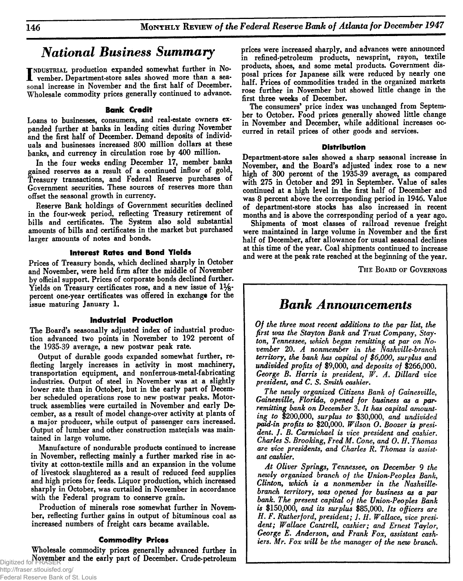# **National Business Summary**

**I** NOUSTRIAL production expanded somewhat further in No-<br>
vember. Department-store sales showed more than a sea-<br>
in the start half of December INDUSTRIAL production expanded somewhat further in No**sonal increase in November and the first half of December. Wholesale commodity prices generally continued to advance.**

### **Bank Credit**

**Loans to businesses, consumers, and real-estate owners expanded further at banks in leading cities during November and the first half of December. Demand deposits of individuals and businesses increased 800 million dollars^ at these banks, and currency in circulation rose by 400 million.**

**In the four weeks ending December 17, member banks gained reserves as a result of a continued inflow of gold, Treasury transactions, and Federal Reserve purchases of Government securities. These sources of reserves more than offset the seasonal growth in currency.**

**Reserve Bank holdings of Government securities declined in the four-week period, reflecting Treasury retirement of bills and certificates. The System also sold substantial amounts of bills and certificates in the market but purchased larger amounts of notes and bonds.**

### **Interest Rates and Bond Yields**

**Prices of Treasury bonds, which declined sharply in October and November, were held firm after the middle of November by official support. Prices of corporate bonds declined further. Yields on Treasury certificates rose, and a new issue of 1% percent one-year certificates was offered in exchange for the issue maturing January 1.**

### **Industrial Production**

**The Board's seasonally adjusted index of industrial production advanced two points in November to 192 percent of the 1935-39 average, a new postwar peak rate.**

**Output of durable goods expanded somewhat further, reflecting largely increases in activity in most machinery, transportation equipment, and nonferrous-metal-fabricating industries. Output of steel in November was at a slightly lower rate than in October, but in the early part of December scheduled operations rose to new postwar peaks. Motortruck assemblies were curtailed in November and early December, as a result of model change-over activity at plants of a major producer, while output of passenger cars increased. Output of lumber and other construction materials was maintained in large volume.**

**Manufacture of nondurable products continued to increase in November, reflecting mainly a further marked rise in activity at cotton-textile mills and an expansion in the volume of livestock slaughtered as a result of reduced feed supplies and high prices for feeds. Liquor production, which increased sharply in October, was curtailed in November in accordance with the Federal program to conserve grain.**

**Production of minerals rose somewhat further in November, reflecting further gains in output of bituminous coal as increased numbers of freight cars became available.**

### **Commodity Prices**

**Wholesale commodity prices generally advanced further in November and the early part of December. Crude-petroleum** Digitized for FRASER

**prices were increased sharply, and advances were announced in refined-petroleum products, newsprint, rayon, textile products, shoes, and some metal products. Government disposal prices for Japanese silk were reduced by nearly one half. Prices of commodities traded in the organized markets rose further in November but showed little change in the first three weeks of December.**

**The consumers\* price index was unchanged from September to October. Food prices generally showed little change in November and December, while additional increases occurred in retail prices of other goods and services.**

### **Distribution**

**Department-store sales showed a sharp seasonal increase in November, and the Board's adjusted index rose to a new high of 300 percent of the 1935-39 average, as compared with 275 in October and 291 in September. Value of sales continued at a high level in the first half of December and was 8 percent above the corresponding period in 1946. Value of department-store stocks has also increased in recent months and is above the corresponding period of a year ago.**

**Shipments of most classes of railroad revenue freight were maintained in large volume in November and the first half of December, after allowance for usual seasonal declines at this time of the year. Coal shipments continued to increase and were at the peak rate reached at the beginning of the year.**

**The Board of Governors**

# *Bank Announcements*

*Of the three most recent additions to the par list, the first was the Stayton Bank and Trust Company, Stay**ton, Tennessee, which began remitting at par on November* **20.** *A nonmember in the Nashville-branch territory, the bank has capital of \$6,000, surplus and undivided profits of* **\$9,000,** *and deposits of* **\$266,000.** *George B. Harris is president, W. A. Dillard vice president***,** *and C. S. Smith cashier.*

*The newly organized Citizens Bank of Gainesville, Gainesville, Florida, opened for business as a par• remitting bank on December* **3.** *It has capital amounting to* **\$200,000,** *surplus to* **\$30,000,** *and undivided paid-in profits to* **\$20,000.** *Wilson O***.** *Boozer is president. J. B. Carmichael is vice president and cashier. Charles S. Brooking, Fred M. Cone, and O. H. Thomas are vice presidents, and Charles R. Thomas is assistant cashier***.**

*At Oliver Springs, Tennessee***,** *on December 9 the newly organized branch of the Union-Peoples Bank, Clinton, which is a nonmember in the Nashvillebranch territory, urns opened for business as a par bank. The present capital of the Union-Peoples Bank is* **\$150,000,** *and its surplus* **\$85,000.** *Its officers are H. F. Rutherford, president; J. H. Wallace, vice president; Wallace Cantrell, cashier; and Ernest Taylor, George E. Anderson, and Frank Fox, assistant cashiers. Mr. Fox will be the manager of the new branch.*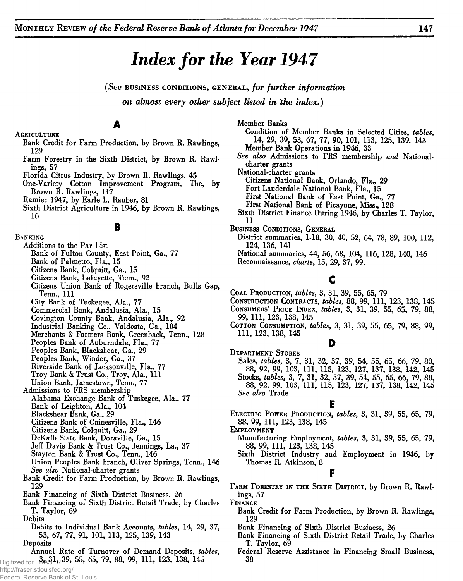# *Index for the Year 1947*

*(See***business conditions, g en era l,** *for further information on almost every other subject listed in the index.)*

**A**

- **Agriculture Bank Credit for Farm Production, by Brown R. Rawlings, 129**
	- **Farm Forestry in the Sixth District, by Brown R. Rawlings, 57**
	- **Florida Citrus Industry, by Brown R. Rawlings, 45**
	- **One-Variety Cotton Improvement Program, The, by Brown R. Rawlings, 117**
	- **Ramie: 1947, by Earle L. Rauber, 81**
	- **Sixth District Agriculture in 1946, by Brown R. Rawlings, 16**

**B**

### **Banking**

- **Additions to the Par List**
	- **Bank of Fulton County, East Point, Ga., 77**
	- **Bank of Palmetto, Fla., 15**
	- **Citizens Bank, Colquitt, Ga., 15**
	- **Citizens Bank, Lafayette, Tenn., 92**
	- **Citizens Union Bank of Rogersville branch, Bulls Gap, Tenn., I ll**
	- **City Bank of Tuskegee, Ala., 77**
	- **Commercial Bank, Andalusia, Ala., 15**
	- **Covington County Bank, Andalusia, Ala., 92**
	- **Industrial Banking Co., Valdosta, Ga., 104**
	- **Merchants & Farmers Bank, Greenback, Tenn., 128**
	- **Peoples Bank of Auburndale, Fla., 77**
	- **Peoples Bank, Blackshear, Ga., 29**
	- **Peoples Bank, Winder, Ga., 37**
	- **Riverside Bank of Jacksonville, Fla., 77**
	- Troy Bank & Trust Co., Troy, Ala., 111
	- **Union Bank, Jamestown, Tenn., 77**
- **Admissions to FRS membership**
- **Alabama Exchange Bank of Tuskegee, Ala., 77 Bank of Leighton, Ala., 104**
- **Blackshear Bank, Ga., 29**
- **Citizens Bank of Gainesville, Fla., 146**
- **Citizens Bank, Colquitt, Ga., 29**
- **DeKalb State Bank, Doraville, Ga., 15**
- **Jeff Davis Bank & Trust Co., Jennings, La., 37**
- **Stayton Bank & Trust Co., Tenn., 146**
- **Union Peoples Bank branch, Oliver Springs, Tenn., 146** *See also* **National-charter grants**
- **Bank Credit for Farm Production, by Brown R. Rawlings, 129**
- **Bank Financing of Sixth District Business, 26**
- **Bank Financing of Sixth District Retail Trade, by Charles T. Taylor, 69**
- **Debits**
- **Debits to Individual Bank Accounts,** *tables***, 14, 29, 37, 53, 67, 77, 91, 101, 113, 125, 139, 143**
- **Deposits**
- **Annual Rate of Turnover of Demand Deposits,** *tables***,** Digitized for FPA3LR 39, 55, 65, 79, 88, 99, 111, 123, 138, 145
- http://fraser.stlouisfed.org/

Federal Reserve Bank of St. Louis

**Member Banks Condition of Member Banks in Selected Cities,** *tables***, 14, 29, 39, 53, 67, 77, 90, 101, 113, 125, 139, 143 Member Bank Operations in 1946, 33** *See also* **Admissions to FRS membership** *and* **Nationalcharter grants National-charter grants Citizens National Bank, Orlando, Fla., 29 Fort Lauderdale National Bank, Fla., 15 First National Bank of East Point, Ga., 77 First National Bank of Picayune, Miss., 128 Sixth District Finance During 1946, by Charles T. Taylor, Business Conditions, General District summaries, 1-18, 30, 40, 52, 64, 78, 89, 100, 112, 124, 136, 141**

**National summaries, 44, 56, 68, 104, 116, 128, 140, 146 Reconnaissance,** *charts***, 15, 29, 37, 99.**

# **c**

- **Coal Production,** *tables,* **3, 31, 39, 55, 65, 79**
- **Construction Contracts,** *tables,* **88, 99, 111, 123, 138, 145 Consumers' Price Index,** *tables,* **3, 31, 39, 55, 65, 79, 88,**
- **99, 111, 123, 138, 145**
- **Cotton Consumption,** *tables,* **3, 31, 39, 55, 65, 79, 88, 99, 111, 123, 138, 145**

### **D**

**Department Stores Sales,** *tables,* **3, 7, 31, 32, 37, 39, 54, 55, 65, 66, 79, 80, 88, 92, 99, 103, 111, 115, 123, 127, 137, 138, 142, 145 Stocks,** *tables,* **3, 7, 31, 32, 37, 39, 54, 55, 65, 66, 79, 80, 88, 92, 99, 103, 111, 115, 123, 127, 137, 138, 142, 145** *See also* **Trade**

### **E**

**Electric Power Production,** *tables,* **3, 31, 39, 55, 65, 79, 88, 99, 111, 123, 138, 145**

- **Employment**
	- **Manufacturing Employment,** *tables,* **3, 31, 39, 55, 65, 79, 88, 99, 111, 123, 138, 145**
	- **Sixth District Industry and Employment in 1946, by Thomas R. Atkinson, 8**

## **F**

**Farm Forestry in the Sixth District, by Brown R. Rawlings, 57**

**Finance**

- **Bank Credit for Farm Production, by Brown R. Rawlings, <sup>129</sup> Bank Financing of Sixth District Business, 26**
- 
- **Bank Financing of Sixth District Retail Trade, by Charles T. Taylor, 69**
- **Federal Reserve Assistance in Financing Small Business, 38**